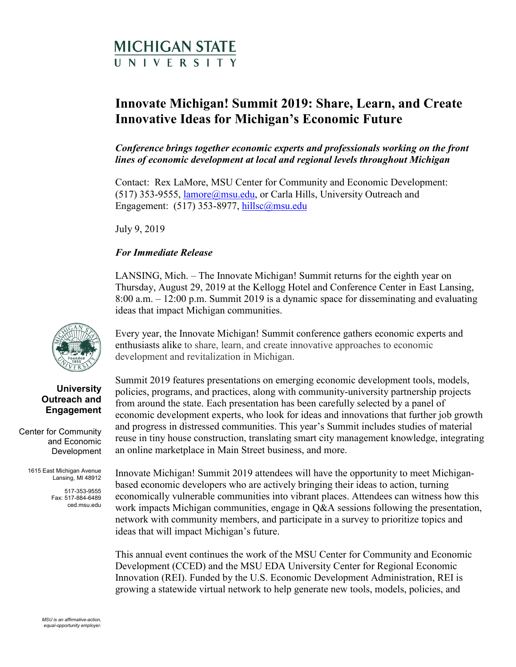# MICHIGAN STATE UNIVERSITY

# **Innovate Michigan! Summit 2019: Share, Learn, and Create Innovative Ideas for Michigan's Economic Future**

*Conference brings together economic experts and professionals working on the front lines of economic development at local and regional levels throughout Michigan* 

Contact: Rex LaMore, MSU Center for Community and Economic Development: (517) 353-9555, *lamore@msu.edu*, or Carla Hills, University Outreach and Engagement: (517) 353-8977, hillsc@msu.edu

July 9, 2019

## *For Immediate Release*

LANSING, Mich. – The Innovate Michigan! Summit returns for the eighth year on Thursday, August 29, 2019 at the Kellogg Hotel and Conference Center in East Lansing, 8:00 a.m. – 12:00 p.m. Summit 2019 is a dynamic space for disseminating and evaluating ideas that impact Michigan communities.

development and revitalization in Michigan. Every year, the Innovate Michigan! Summit conference gathers economic experts and enthusiasts alike to share, learn, and create innovative approaches to economic

 from around the state. Each presentation has been carefully selected by a panel of Summit 2019 features presentations on emerging economic development tools, models, policies, programs, and practices, along with community-university partnership projects economic development experts, who look for ideas and innovations that further job growth and progress in distressed communities. This year's Summit includes studies of material reuse in tiny house construction, translating smart city management knowledge, integrating an online marketplace in Main Street business, and more.

Innovate Michigan! Summit 2019 attendees will have the opportunity to meet Michiganbased economic developers who are actively bringing their ideas to action, turning economically vulnerable communities into vibrant places. Attendees can witness how this work impacts Michigan communities, engage in Q&A sessions following the presentation, network with community members, and participate in a survey to prioritize topics and ideas that will impact Michigan's future.

This annual event continues the work of the MSU Center for Community and Economic Development (CCED) and the MSU EDA University Center for Regional Economic Innovation (REI). Funded by the U.S. Economic Development Administration, REI is growing a statewide virtual network to help generate new tools, models, policies, and



### **University Outreach and Engagement**

Center for Community and Economic Development

> 1615 East Michigan Avenue Lansing, MI 48912

> > 517-353-9555 Fax: 517-884-6489 [ced.msu.edu](https://ced.msu.edu)